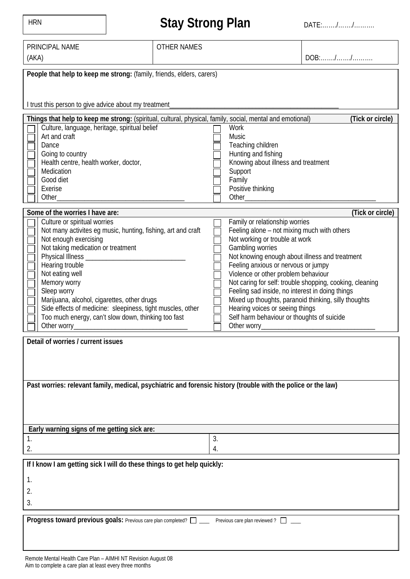| <b>HRN</b>                                                                                                                                                                                                                                                                                                                                                                                                                                                   | <b>Stay Strong Plan</b> |                                                                                                     | DATE://                                                                                                                                                                                                                                                                                                                                                                                                                                                 |  |  |
|--------------------------------------------------------------------------------------------------------------------------------------------------------------------------------------------------------------------------------------------------------------------------------------------------------------------------------------------------------------------------------------------------------------------------------------------------------------|-------------------------|-----------------------------------------------------------------------------------------------------|---------------------------------------------------------------------------------------------------------------------------------------------------------------------------------------------------------------------------------------------------------------------------------------------------------------------------------------------------------------------------------------------------------------------------------------------------------|--|--|
| PRINCIPAL NAME<br>(AKA)                                                                                                                                                                                                                                                                                                                                                                                                                                      | <b>OTHER NAMES</b>      |                                                                                                     | $DOB: \ldots \ldots \ldots \ldots \ldots$                                                                                                                                                                                                                                                                                                                                                                                                               |  |  |
| People that help to keep me strong: (family, friends, elders, carers)<br>I trust this person to give advice about my treatment                                                                                                                                                                                                                                                                                                                               |                         |                                                                                                     |                                                                                                                                                                                                                                                                                                                                                                                                                                                         |  |  |
| Things that help to keep me strong: (spiritual, cultural, physical, family, social, mental and emotional)<br>Culture, language, heritage, spiritual belief<br>Art and craft<br>Dance<br>Going to country<br>Health centre, health worker, doctor,<br>Medication<br>Good diet<br>Exerise<br>Other                                                                                                                                                             |                         | Work<br>Music<br>Teaching children<br>Hunting and fishing<br>Support<br>Family<br>Positive thinking | (Tick or circle)<br>Knowing about illness and treatment<br>Other and the contract of the contract of the contract of the contract of the contract of the contract of the contract of the contract of the contract of the contract of the contract of the contract of the contract of the                                                                                                                                                                |  |  |
| Some of the worries I have are:<br>Culture or spiritual worries<br>Not many activites eg music, hunting, fishing, art and craft<br>Not enough exercising<br>Not taking medication or treatment<br>Physical Illness_<br>Hearing trouble<br>Not eating well<br>Memory worry<br>Sleep worry<br>Marijuana, alcohol, cigarettes, other drugs<br>Side effects of medicine: sleepiness, tight muscles, other<br>Too much energy, can't slow down, thinking too fast |                         | Family or relationship worries<br>Not working or trouble at work<br>Gambling worries                | (Tick or circle)<br>Feeling alone - not mixing much with others<br>Not knowing enough about illness and treatment<br>Feeling anxious or nervous or jumpy<br>Violence or other problem behaviour<br>Not caring for self: trouble shopping, cooking, cleaning<br>Feeling sad inside, no interest in doing things<br>Mixed up thoughts, paranoid thinking, silly thoughts<br>Hearing voices or seeing things<br>Self harm behaviour or thoughts of suicide |  |  |
| Detail of worries / current issues<br>Past worries: relevant family, medical, psychiatric and forensic history (trouble with the police or the law)                                                                                                                                                                                                                                                                                                          |                         |                                                                                                     |                                                                                                                                                                                                                                                                                                                                                                                                                                                         |  |  |
| Early warning signs of me getting sick are:                                                                                                                                                                                                                                                                                                                                                                                                                  |                         |                                                                                                     |                                                                                                                                                                                                                                                                                                                                                                                                                                                         |  |  |
| 1.<br>2.                                                                                                                                                                                                                                                                                                                                                                                                                                                     |                         | 3.<br>4.                                                                                            |                                                                                                                                                                                                                                                                                                                                                                                                                                                         |  |  |
| If I know I am getting sick I will do these things to get help quickly:<br>1.<br>2.<br>3.                                                                                                                                                                                                                                                                                                                                                                    |                         |                                                                                                     |                                                                                                                                                                                                                                                                                                                                                                                                                                                         |  |  |
| Progress toward previous goals: Previous care plan completed? $\square$ Previous care plan reviewed? $\square$                                                                                                                                                                                                                                                                                                                                               |                         |                                                                                                     |                                                                                                                                                                                                                                                                                                                                                                                                                                                         |  |  |